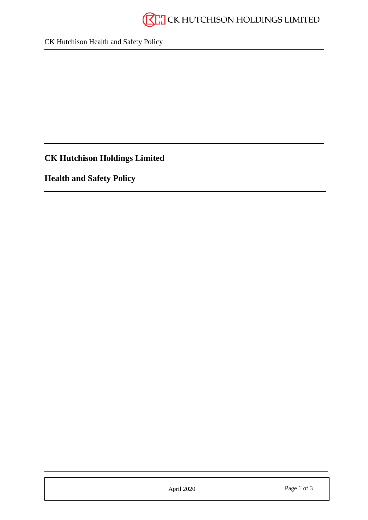

CK Hutchison Health and Safety Policy

**CK Hutchison Holdings Limited**

**Health and Safety Policy**

| April 2020 | Page 1 of 3 |
|------------|-------------|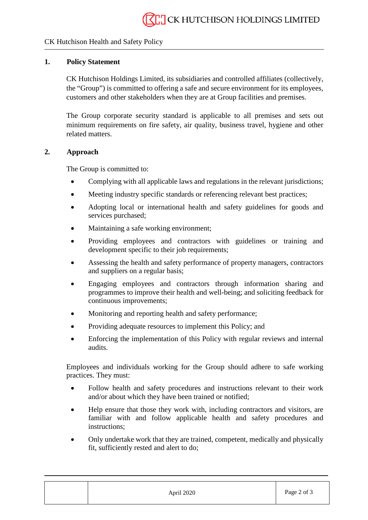## CK Hutchison Health and Safety Policy

## **1. Policy Statement**

CK Hutchison Holdings Limited, its subsidiaries and controlled affiliates (collectively, the "Group") is committed to offering a safe and secure environment for its employees, customers and other stakeholders when they are at Group facilities and premises.

The Group corporate security standard is applicable to all premises and sets out minimum requirements on fire safety, air quality, business travel, hygiene and other related matters.

## **2. Approach**

The Group is committed to:

- Complying with all applicable laws and regulations in the relevant jurisdictions:
- Meeting industry specific standards or referencing relevant best practices;
- Adopting local or international health and safety guidelines for goods and services purchased;
- Maintaining a safe working environment:
- Providing employees and contractors with guidelines or training and development specific to their job requirements;
- Assessing the health and safety performance of property managers, contractors and suppliers on a regular basis;
- Engaging employees and contractors through information sharing and programmes to improve their health and well-being; and soliciting feedback for continuous improvements;
- Monitoring and reporting health and safety performance;
- Providing adequate resources to implement this Policy; and
- Enforcing the implementation of this Policy with regular reviews and internal audits.

Employees and individuals working for the Group should adhere to safe working practices. They must:

- Follow health and safety procedures and instructions relevant to their work and/or about which they have been trained or notified;
- Help ensure that those they work with, including contractors and visitors, are familiar with and follow applicable health and safety procedures and instructions;
- Only undertake work that they are trained, competent, medically and physically fit, sufficiently rested and alert to do;